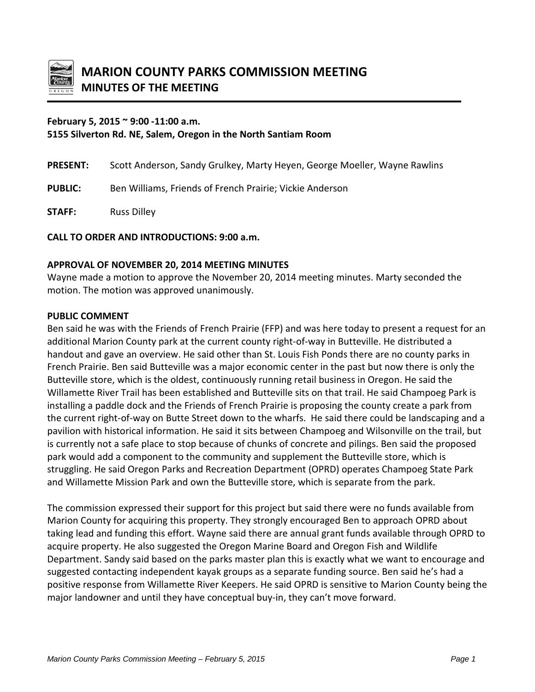

### **February 5, 2015 ~ 9:00 -11:00 a.m. 5155 Silverton Rd. NE, Salem, Oregon in the North Santiam Room**

| <b>PRESENT:</b> | Scott Anderson, Sandy Grulkey, Marty Heyen, George Moeller, Wayne Rawlins |
|-----------------|---------------------------------------------------------------------------|
| <b>PUBLIC:</b>  | Ben Williams, Friends of French Prairie; Vickie Anderson                  |
| STAFF:          | <b>Russ Dilley</b>                                                        |

#### **CALL TO ORDER AND INTRODUCTIONS: 9:00 a.m.**

### **APPROVAL OF NOVEMBER 20, 2014 MEETING MINUTES**

Wayne made a motion to approve the November 20, 2014 meeting minutes. Marty seconded the motion. The motion was approved unanimously.

#### **PUBLIC COMMENT**

Ben said he was with the Friends of French Prairie (FFP) and was here today to present a request for an additional Marion County park at the current county right-of-way in Butteville. He distributed a handout and gave an overview. He said other than St. Louis Fish Ponds there are no county parks in French Prairie. Ben said Butteville was a major economic center in the past but now there is only the Butteville store, which is the oldest, continuously running retail business in Oregon. He said the Willamette River Trail has been established and Butteville sits on that trail. He said Champoeg Park is installing a paddle dock and the Friends of French Prairie is proposing the county create a park from the current right-of-way on Butte Street down to the wharfs. He said there could be landscaping and a pavilion with historical information. He said it sits between Champoeg and Wilsonville on the trail, but is currently not a safe place to stop because of chunks of concrete and pilings. Ben said the proposed park would add a component to the community and supplement the Butteville store, which is struggling. He said Oregon Parks and Recreation Department (OPRD) operates Champoeg State Park and Willamette Mission Park and own the Butteville store, which is separate from the park.

The commission expressed their support for this project but said there were no funds available from Marion County for acquiring this property. They strongly encouraged Ben to approach OPRD about taking lead and funding this effort. Wayne said there are annual grant funds available through OPRD to acquire property. He also suggested the Oregon Marine Board and Oregon Fish and Wildlife Department. Sandy said based on the parks master plan this is exactly what we want to encourage and suggested contacting independent kayak groups as a separate funding source. Ben said he's had a positive response from Willamette River Keepers. He said OPRD is sensitive to Marion County being the major landowner and until they have conceptual buy-in, they can't move forward.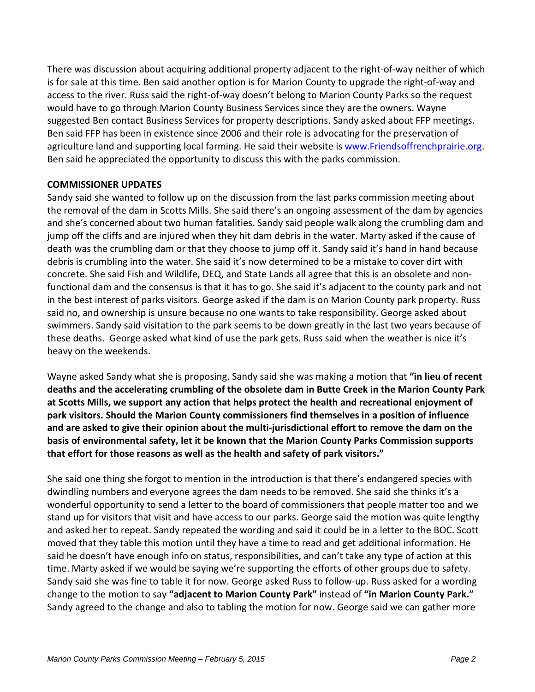There was discussion about acquiring additional property adjacent to the right-of-way neither of which is for sale at this time. Ben said another option is for Marion County to upgrade the right-of-way and access to the river. Russ said the right-of-way doesn't belong to Marion County Parks so the request would have to go through Marion County Business Services since they are the owners. Wayne suggested Ben contact Business Services for property descriptions. Sandy asked about FFP meetings. Ben said FFP has been in existence since 2006 and their role is advocating for the preservation of agriculture land and supporting local farming. He said their website i[s www.Friendsoffrenchprairie.org.](http://www.friendsoffrenchprairie.org/) Ben said he appreciated the opportunity to discuss this with the parks commission.

# **COMMISSIONER UPDATES**

Sandy said she wanted to follow up on the discussion from the last parks commission meeting about the removal of the dam in Scotts Mills. She said there's an ongoing assessment of the dam by agencies and she's concerned about two human fatalities. Sandy said people walk along the crumbling dam and jump off the cliffs and are injured when they hit dam debris in the water. Marty asked if the cause of death was the crumbling dam or that they choose to jump off it. Sandy said it's hand in hand because debris is crumbling into the water. She said it's now determined to be a mistake to cover dirt with concrete. She said Fish and Wildlife, DEQ, and State Lands all agree that this is an obsolete and nonfunctional dam and the consensus is that it has to go. She said it's adjacent to the county park and not in the best interest of parks visitors. George asked if the dam is on Marion County park property. Russ said no, and ownership is unsure because no one wants to take responsibility. George asked about swimmers. Sandy said visitation to the park seems to be down greatly in the last two years because of these deaths. George asked what kind of use the park gets. Russ said when the weather is nice it's heavy on the weekends.

Wayne asked Sandy what she is proposing. Sandy said she was making a motion that **"in lieu of recent deaths and the accelerating crumbling of the obsolete dam in Butte Creek in the Marion County Park at Scotts Mills, we support any action that helps protect the health and recreational enjoyment of park visitors. Should the Marion County commissioners find themselves in a position of influence and are asked to give their opinion about the multi-jurisdictional effort to remove the dam on the basis of environmental safety, let it be known that the Marion County Parks Commission supports that effort for those reasons as well as the health and safety of park visitors."** 

She said one thing she forgot to mention in the introduction is that there's endangered species with dwindling numbers and everyone agrees the dam needs to be removed. She said she thinks it's a wonderful opportunity to send a letter to the board of commissioners that people matter too and we stand up for visitors that visit and have access to our parks. George said the motion was quite lengthy and asked her to repeat. Sandy repeated the wording and said it could be in a letter to the BOC. Scott moved that they table this motion until they have a time to read and get additional information. He said he doesn't have enough info on status, responsibilities, and can't take any type of action at this time. Marty asked if we would be saying we're supporting the efforts of other groups due to safety. Sandy said she was fine to table it for now. George asked Russ to follow-up. Russ asked for a wording change to the motion to say **"adjacent to Marion County Park"** instead of **"in Marion County Park."** Sandy agreed to the change and also to tabling the motion for now. George said we can gather more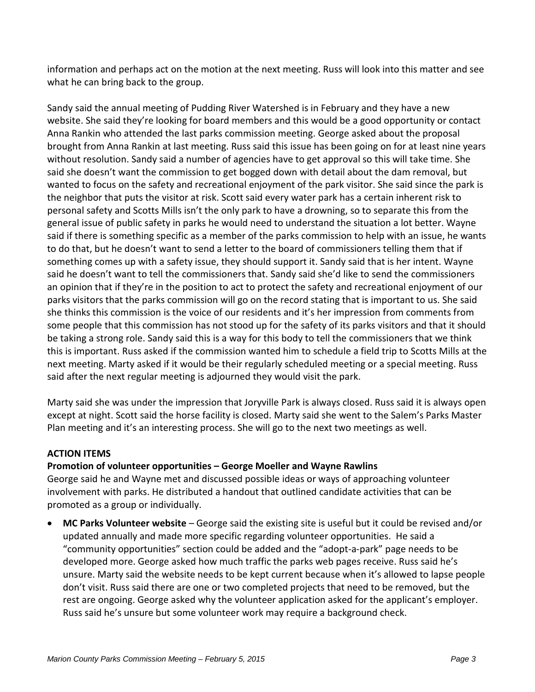information and perhaps act on the motion at the next meeting. Russ will look into this matter and see what he can bring back to the group.

Sandy said the annual meeting of Pudding River Watershed is in February and they have a new website. She said they're looking for board members and this would be a good opportunity or contact Anna Rankin who attended the last parks commission meeting. George asked about the proposal brought from Anna Rankin at last meeting. Russ said this issue has been going on for at least nine years without resolution. Sandy said a number of agencies have to get approval so this will take time. She said she doesn't want the commission to get bogged down with detail about the dam removal, but wanted to focus on the safety and recreational enjoyment of the park visitor. She said since the park is the neighbor that puts the visitor at risk. Scott said every water park has a certain inherent risk to personal safety and Scotts Mills isn't the only park to have a drowning, so to separate this from the general issue of public safety in parks he would need to understand the situation a lot better. Wayne said if there is something specific as a member of the parks commission to help with an issue, he wants to do that, but he doesn't want to send a letter to the board of commissioners telling them that if something comes up with a safety issue, they should support it. Sandy said that is her intent. Wayne said he doesn't want to tell the commissioners that. Sandy said she'd like to send the commissioners an opinion that if they're in the position to act to protect the safety and recreational enjoyment of our parks visitors that the parks commission will go on the record stating that is important to us. She said she thinks this commission is the voice of our residents and it's her impression from comments from some people that this commission has not stood up for the safety of its parks visitors and that it should be taking a strong role. Sandy said this is a way for this body to tell the commissioners that we think this is important. Russ asked if the commission wanted him to schedule a field trip to Scotts Mills at the next meeting. Marty asked if it would be their regularly scheduled meeting or a special meeting. Russ said after the next regular meeting is adjourned they would visit the park.

Marty said she was under the impression that Joryville Park is always closed. Russ said it is always open except at night. Scott said the horse facility is closed. Marty said she went to the Salem's Parks Master Plan meeting and it's an interesting process. She will go to the next two meetings as well.

# **ACTION ITEMS**

# **Promotion of volunteer opportunities – George Moeller and Wayne Rawlins**

George said he and Wayne met and discussed possible ideas or ways of approaching volunteer involvement with parks. He distributed a handout that outlined candidate activities that can be promoted as a group or individually.

• **MC Parks Volunteer website** – George said the existing site is useful but it could be revised and/or updated annually and made more specific regarding volunteer opportunities. He said a "community opportunities" section could be added and the "adopt-a-park" page needs to be developed more. George asked how much traffic the parks web pages receive. Russ said he's unsure. Marty said the website needs to be kept current because when it's allowed to lapse people don't visit. Russ said there are one or two completed projects that need to be removed, but the rest are ongoing. George asked why the volunteer application asked for the applicant's employer. Russ said he's unsure but some volunteer work may require a background check.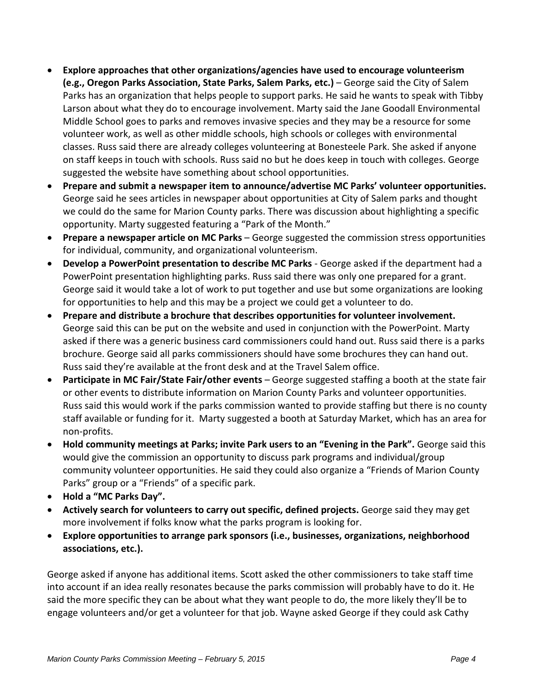- **Explore approaches that other organizations/agencies have used to encourage volunteerism (e.g., Oregon Parks Association, State Parks, Salem Parks, etc.)** – George said the City of Salem Parks has an organization that helps people to support parks. He said he wants to speak with Tibby Larson about what they do to encourage involvement. Marty said the Jane Goodall Environmental Middle School goes to parks and removes invasive species and they may be a resource for some volunteer work, as well as other middle schools, high schools or colleges with environmental classes. Russ said there are already colleges volunteering at Bonesteele Park. She asked if anyone on staff keeps in touch with schools. Russ said no but he does keep in touch with colleges. George suggested the website have something about school opportunities.
- **Prepare and submit a newspaper item to announce/advertise MC Parks' volunteer opportunities.** George said he sees articles in newspaper about opportunities at City of Salem parks and thought we could do the same for Marion County parks. There was discussion about highlighting a specific opportunity. Marty suggested featuring a "Park of the Month."
- **Prepare a newspaper article on MC Parks** George suggested the commission stress opportunities for individual, community, and organizational volunteerism.
- **Develop a PowerPoint presentation to describe MC Parks** George asked if the department had a PowerPoint presentation highlighting parks. Russ said there was only one prepared for a grant. George said it would take a lot of work to put together and use but some organizations are looking for opportunities to help and this may be a project we could get a volunteer to do.
- **Prepare and distribute a brochure that describes opportunities for volunteer involvement.** George said this can be put on the website and used in conjunction with the PowerPoint. Marty asked if there was a generic business card commissioners could hand out. Russ said there is a parks brochure. George said all parks commissioners should have some brochures they can hand out. Russ said they're available at the front desk and at the Travel Salem office.
- **Participate in MC Fair/State Fair/other events**  George suggested staffing a booth at the state fair or other events to distribute information on Marion County Parks and volunteer opportunities. Russ said this would work if the parks commission wanted to provide staffing but there is no county staff available or funding for it. Marty suggested a booth at Saturday Market, which has an area for non-profits.
- **Hold community meetings at Parks; invite Park users to an "Evening in the Park".** George said this would give the commission an opportunity to discuss park programs and individual/group community volunteer opportunities. He said they could also organize a "Friends of Marion County Parks" group or a "Friends" of a specific park.
- **Hold a "MC Parks Day".**
- **Actively search for volunteers to carry out specific, defined projects.** George said they may get more involvement if folks know what the parks program is looking for.
- **Explore opportunities to arrange park sponsors (i.e., businesses, organizations, neighborhood associations, etc.).**

George asked if anyone has additional items. Scott asked the other commissioners to take staff time into account if an idea really resonates because the parks commission will probably have to do it. He said the more specific they can be about what they want people to do, the more likely they'll be to engage volunteers and/or get a volunteer for that job. Wayne asked George if they could ask Cathy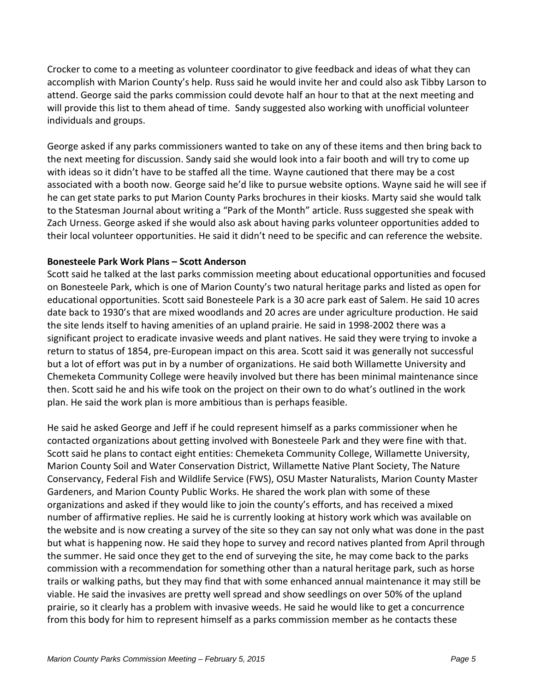Crocker to come to a meeting as volunteer coordinator to give feedback and ideas of what they can accomplish with Marion County's help. Russ said he would invite her and could also ask Tibby Larson to attend. George said the parks commission could devote half an hour to that at the next meeting and will provide this list to them ahead of time. Sandy suggested also working with unofficial volunteer individuals and groups.

George asked if any parks commissioners wanted to take on any of these items and then bring back to the next meeting for discussion. Sandy said she would look into a fair booth and will try to come up with ideas so it didn't have to be staffed all the time. Wayne cautioned that there may be a cost associated with a booth now. George said he'd like to pursue website options. Wayne said he will see if he can get state parks to put Marion County Parks brochures in their kiosks. Marty said she would talk to the Statesman Journal about writing a "Park of the Month" article. Russ suggested she speak with Zach Urness. George asked if she would also ask about having parks volunteer opportunities added to their local volunteer opportunities. He said it didn't need to be specific and can reference the website.

### **Bonesteele Park Work Plans – Scott Anderson**

Scott said he talked at the last parks commission meeting about educational opportunities and focused on Bonesteele Park, which is one of Marion County's two natural heritage parks and listed as open for educational opportunities. Scott said Bonesteele Park is a 30 acre park east of Salem. He said 10 acres date back to 1930's that are mixed woodlands and 20 acres are under agriculture production. He said the site lends itself to having amenities of an upland prairie. He said in 1998-2002 there was a significant project to eradicate invasive weeds and plant natives. He said they were trying to invoke a return to status of 1854, pre-European impact on this area. Scott said it was generally not successful but a lot of effort was put in by a number of organizations. He said both Willamette University and Chemeketa Community College were heavily involved but there has been minimal maintenance since then. Scott said he and his wife took on the project on their own to do what's outlined in the work plan. He said the work plan is more ambitious than is perhaps feasible.

He said he asked George and Jeff if he could represent himself as a parks commissioner when he contacted organizations about getting involved with Bonesteele Park and they were fine with that. Scott said he plans to contact eight entities: Chemeketa Community College, Willamette University, Marion County Soil and Water Conservation District, Willamette Native Plant Society, The Nature Conservancy, Federal Fish and Wildlife Service (FWS), OSU Master Naturalists, Marion County Master Gardeners, and Marion County Public Works. He shared the work plan with some of these organizations and asked if they would like to join the county's efforts, and has received a mixed number of affirmative replies. He said he is currently looking at history work which was available on the website and is now creating a survey of the site so they can say not only what was done in the past but what is happening now. He said they hope to survey and record natives planted from April through the summer. He said once they get to the end of surveying the site, he may come back to the parks commission with a recommendation for something other than a natural heritage park, such as horse trails or walking paths, but they may find that with some enhanced annual maintenance it may still be viable. He said the invasives are pretty well spread and show seedlings on over 50% of the upland prairie, so it clearly has a problem with invasive weeds. He said he would like to get a concurrence from this body for him to represent himself as a parks commission member as he contacts these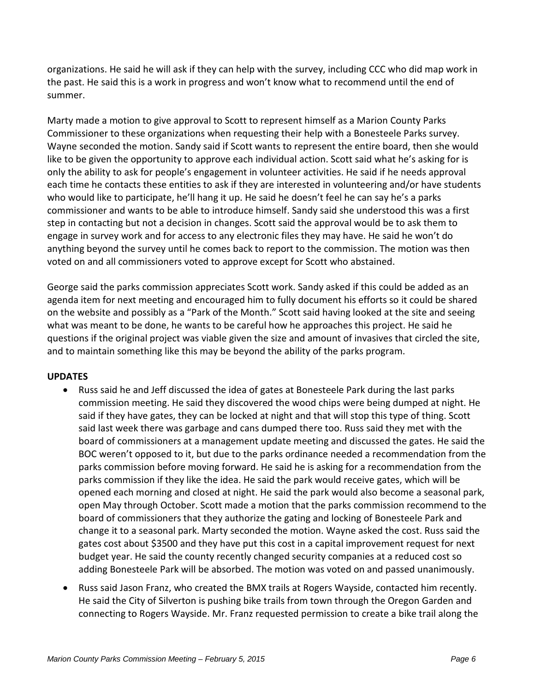organizations. He said he will ask if they can help with the survey, including CCC who did map work in the past. He said this is a work in progress and won't know what to recommend until the end of summer.

Marty made a motion to give approval to Scott to represent himself as a Marion County Parks Commissioner to these organizations when requesting their help with a Bonesteele Parks survey. Wayne seconded the motion. Sandy said if Scott wants to represent the entire board, then she would like to be given the opportunity to approve each individual action. Scott said what he's asking for is only the ability to ask for people's engagement in volunteer activities. He said if he needs approval each time he contacts these entities to ask if they are interested in volunteering and/or have students who would like to participate, he'll hang it up. He said he doesn't feel he can say he's a parks commissioner and wants to be able to introduce himself. Sandy said she understood this was a first step in contacting but not a decision in changes. Scott said the approval would be to ask them to engage in survey work and for access to any electronic files they may have. He said he won't do anything beyond the survey until he comes back to report to the commission. The motion was then voted on and all commissioners voted to approve except for Scott who abstained.

George said the parks commission appreciates Scott work. Sandy asked if this could be added as an agenda item for next meeting and encouraged him to fully document his efforts so it could be shared on the website and possibly as a "Park of the Month." Scott said having looked at the site and seeing what was meant to be done, he wants to be careful how he approaches this project. He said he questions if the original project was viable given the size and amount of invasives that circled the site, and to maintain something like this may be beyond the ability of the parks program.

# **UPDATES**

- Russ said he and Jeff discussed the idea of gates at Bonesteele Park during the last parks commission meeting. He said they discovered the wood chips were being dumped at night. He said if they have gates, they can be locked at night and that will stop this type of thing. Scott said last week there was garbage and cans dumped there too. Russ said they met with the board of commissioners at a management update meeting and discussed the gates. He said the BOC weren't opposed to it, but due to the parks ordinance needed a recommendation from the parks commission before moving forward. He said he is asking for a recommendation from the parks commission if they like the idea. He said the park would receive gates, which will be opened each morning and closed at night. He said the park would also become a seasonal park, open May through October. Scott made a motion that the parks commission recommend to the board of commissioners that they authorize the gating and locking of Bonesteele Park and change it to a seasonal park. Marty seconded the motion. Wayne asked the cost. Russ said the gates cost about \$3500 and they have put this cost in a capital improvement request for next budget year. He said the county recently changed security companies at a reduced cost so adding Bonesteele Park will be absorbed. The motion was voted on and passed unanimously.
- Russ said Jason Franz, who created the BMX trails at Rogers Wayside, contacted him recently. He said the City of Silverton is pushing bike trails from town through the Oregon Garden and connecting to Rogers Wayside. Mr. Franz requested permission to create a bike trail along the